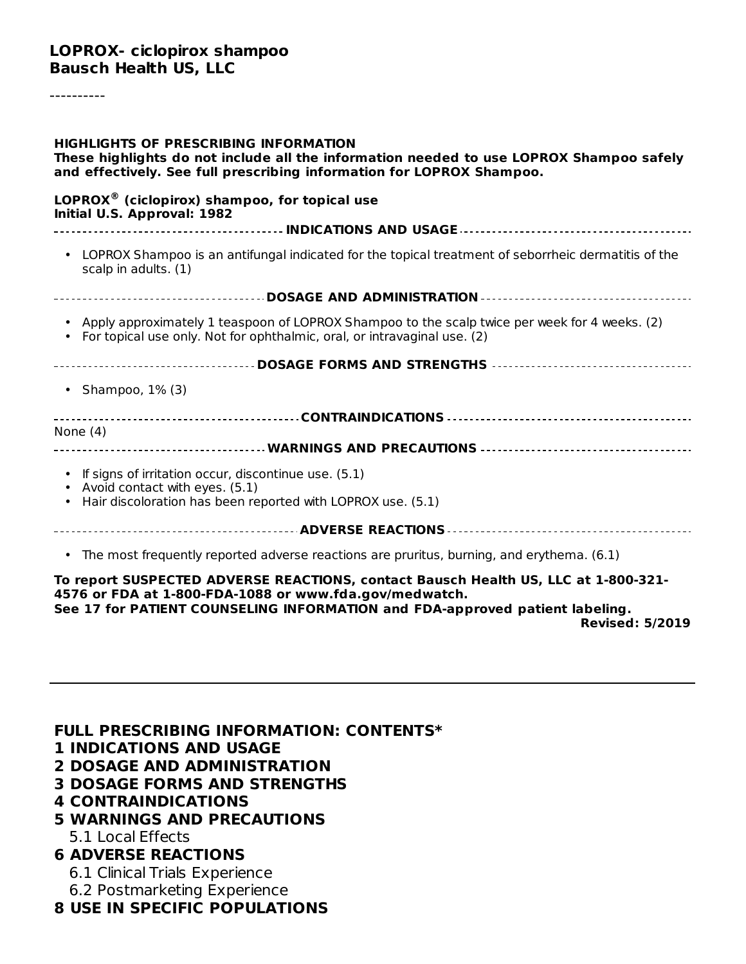----------

| <b>HIGHLIGHTS OF PRESCRIBING INFORMATION</b><br>These highlights do not include all the information needed to use LOPROX Shampoo safely<br>and effectively. See full prescribing information for LOPROX Shampoo. |  |  |
|------------------------------------------------------------------------------------------------------------------------------------------------------------------------------------------------------------------|--|--|
| $LOPROX®$ (ciclopirox) shampoo, for topical use<br>Initial U.S. Approval: 1982                                                                                                                                   |  |  |
|                                                                                                                                                                                                                  |  |  |
| • LOPROX Shampoo is an antifungal indicated for the topical treatment of seborrheic dermatitis of the<br>scalp in adults. (1)                                                                                    |  |  |
|                                                                                                                                                                                                                  |  |  |
| • Apply approximately 1 teaspoon of LOPROX Shampoo to the scalp twice per week for 4 weeks. (2)<br>For topical use only. Not for ophthalmic, oral, or intravaginal use. (2)                                      |  |  |
|                                                                                                                                                                                                                  |  |  |
| • Shampoo, $1\%$ (3)                                                                                                                                                                                             |  |  |
|                                                                                                                                                                                                                  |  |  |
| None $(4)$                                                                                                                                                                                                       |  |  |
| • If signs of irritation occur, discontinue use. (5.1)<br>• Avoid contact with eyes. (5.1)                                                                                                                       |  |  |
| Hair discoloration has been reported with LOPROX use. (5.1)                                                                                                                                                      |  |  |
|                                                                                                                                                                                                                  |  |  |
| • The most frequently reported adverse reactions are pruritus, burning, and erythema. (6.1)                                                                                                                      |  |  |
| To report SUSPECTED ADVERSE REACTIONS, contact Bausch Health US, LLC at 1-800-321-                                                                                                                               |  |  |

**4576 or FDA at 1-800-FDA-1088 or www.fda.gov/medwatch. See 17 for PATIENT COUNSELING INFORMATION and FDA-approved patient labeling.**

**Revised: 5/2019**

**FULL PRESCRIBING INFORMATION: CONTENTS\***

- **1 INDICATIONS AND USAGE**
- **2 DOSAGE AND ADMINISTRATION**
- **3 DOSAGE FORMS AND STRENGTHS**
- **4 CONTRAINDICATIONS**
- **5 WARNINGS AND PRECAUTIONS**

5.1 Local Effects

#### **6 ADVERSE REACTIONS**

6.1 Clinical Trials Experience

- 6.2 Postmarketing Experience
- **8 USE IN SPECIFIC POPULATIONS**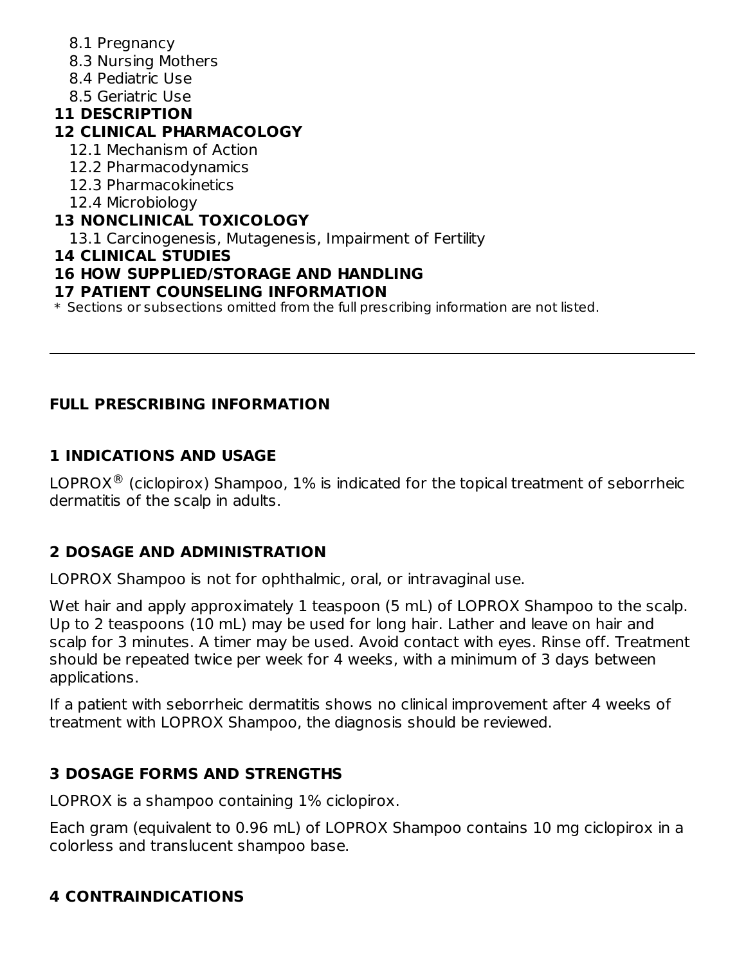- 8.1 Pregnancy
- 8.3 Nursing Mothers
- 8.4 Pediatric Use
- 8.5 Geriatric Use

# **11 DESCRIPTION**

# **12 CLINICAL PHARMACOLOGY**

- 12.1 Mechanism of Action
- 12.2 Pharmacodynamics
- 12.3 Pharmacokinetics
- 12.4 Microbiology

# **13 NONCLINICAL TOXICOLOGY**

13.1 Carcinogenesis, Mutagenesis, Impairment of Fertility

### **14 CLINICAL STUDIES**

# **16 HOW SUPPLIED/STORAGE AND HANDLING**

### **17 PATIENT COUNSELING INFORMATION**

\* Sections or subsections omitted from the full prescribing information are not listed.

# **FULL PRESCRIBING INFORMATION**

# **1 INDICATIONS AND USAGE**

LOPROX $^{\circledR}$  (ciclopirox) Shampoo, 1% is indicated for the topical treatment of seborrheic dermatitis of the scalp in adults.

# **2 DOSAGE AND ADMINISTRATION**

LOPROX Shampoo is not for ophthalmic, oral, or intravaginal use.

Wet hair and apply approximately 1 teaspoon (5 mL) of LOPROX Shampoo to the scalp. Up to 2 teaspoons (10 mL) may be used for long hair. Lather and leave on hair and scalp for 3 minutes. A timer may be used. Avoid contact with eyes. Rinse off. Treatment should be repeated twice per week for 4 weeks, with a minimum of 3 days between applications.

If a patient with seborrheic dermatitis shows no clinical improvement after 4 weeks of treatment with LOPROX Shampoo, the diagnosis should be reviewed.

# **3 DOSAGE FORMS AND STRENGTHS**

LOPROX is a shampoo containing 1% ciclopirox.

Each gram (equivalent to 0.96 mL) of LOPROX Shampoo contains 10 mg ciclopirox in a colorless and translucent shampoo base.

# **4 CONTRAINDICATIONS**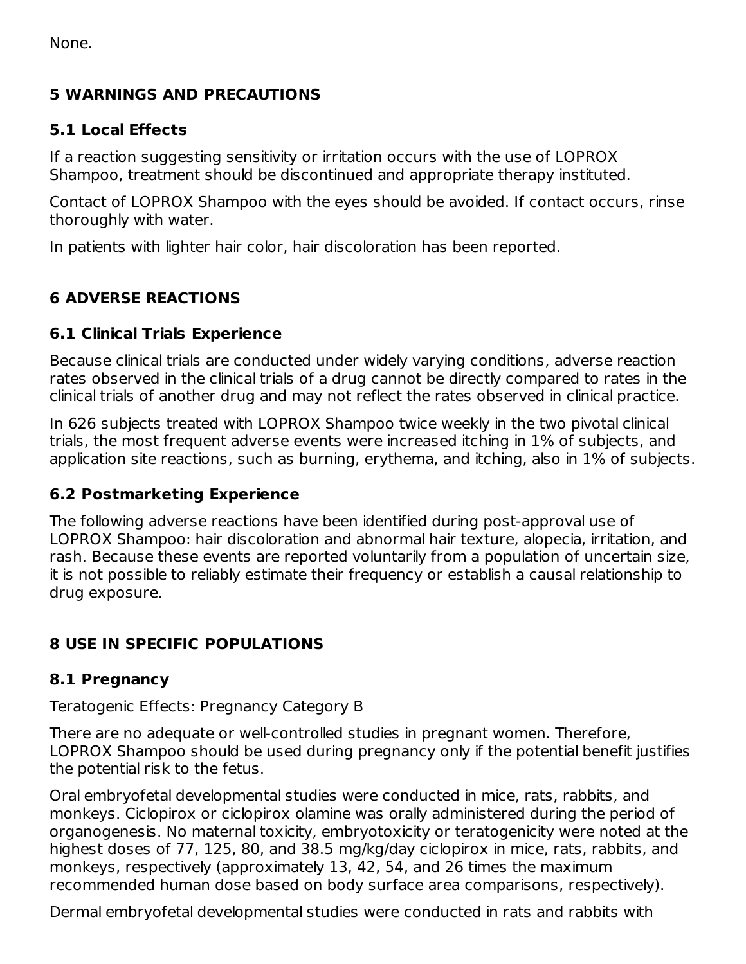None.

### **5 WARNINGS AND PRECAUTIONS**

### **5.1 Local Effects**

If a reaction suggesting sensitivity or irritation occurs with the use of LOPROX Shampoo, treatment should be discontinued and appropriate therapy instituted.

Contact of LOPROX Shampoo with the eyes should be avoided. If contact occurs, rinse thoroughly with water.

In patients with lighter hair color, hair discoloration has been reported.

# **6 ADVERSE REACTIONS**

### **6.1 Clinical Trials Experience**

Because clinical trials are conducted under widely varying conditions, adverse reaction rates observed in the clinical trials of a drug cannot be directly compared to rates in the clinical trials of another drug and may not reflect the rates observed in clinical practice.

In 626 subjects treated with LOPROX Shampoo twice weekly in the two pivotal clinical trials, the most frequent adverse events were increased itching in 1% of subjects, and application site reactions, such as burning, erythema, and itching, also in 1% of subjects.

### **6.2 Postmarketing Experience**

The following adverse reactions have been identified during post-approval use of LOPROX Shampoo: hair discoloration and abnormal hair texture, alopecia, irritation, and rash. Because these events are reported voluntarily from a population of uncertain size, it is not possible to reliably estimate their frequency or establish a causal relationship to drug exposure.

# **8 USE IN SPECIFIC POPULATIONS**

### **8.1 Pregnancy**

### Teratogenic Effects: Pregnancy Category B

There are no adequate or well-controlled studies in pregnant women. Therefore, LOPROX Shampoo should be used during pregnancy only if the potential benefit justifies the potential risk to the fetus.

Oral embryofetal developmental studies were conducted in mice, rats, rabbits, and monkeys. Ciclopirox or ciclopirox olamine was orally administered during the period of organogenesis. No maternal toxicity, embryotoxicity or teratogenicity were noted at the highest doses of 77, 125, 80, and 38.5 mg/kg/day ciclopirox in mice, rats, rabbits, and monkeys, respectively (approximately 13, 42, 54, and 26 times the maximum recommended human dose based on body surface area comparisons, respectively).

Dermal embryofetal developmental studies were conducted in rats and rabbits with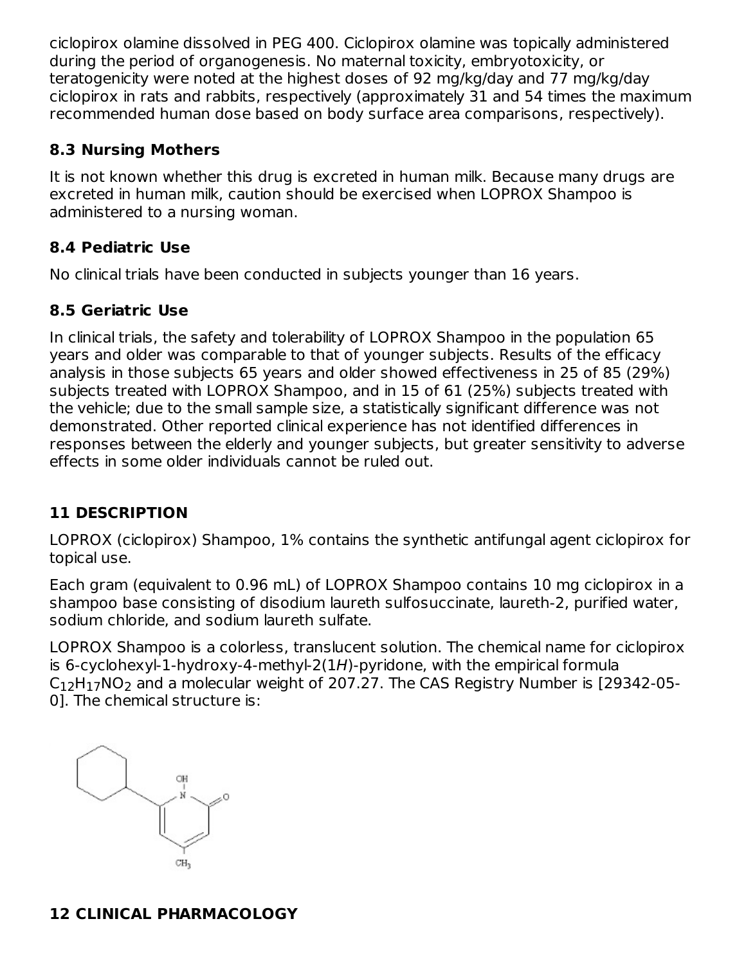ciclopirox olamine dissolved in PEG 400. Ciclopirox olamine was topically administered during the period of organogenesis. No maternal toxicity, embryotoxicity, or teratogenicity were noted at the highest doses of 92 mg/kg/day and 77 mg/kg/day ciclopirox in rats and rabbits, respectively (approximately 31 and 54 times the maximum recommended human dose based on body surface area comparisons, respectively).

### **8.3 Nursing Mothers**

It is not known whether this drug is excreted in human milk. Because many drugs are excreted in human milk, caution should be exercised when LOPROX Shampoo is administered to a nursing woman.

### **8.4 Pediatric Use**

No clinical trials have been conducted in subjects younger than 16 years.

### **8.5 Geriatric Use**

In clinical trials, the safety and tolerability of LOPROX Shampoo in the population 65 years and older was comparable to that of younger subjects. Results of the efficacy analysis in those subjects 65 years and older showed effectiveness in 25 of 85 (29%) subjects treated with LOPROX Shampoo, and in 15 of 61 (25%) subjects treated with the vehicle; due to the small sample size, a statistically significant difference was not demonstrated. Other reported clinical experience has not identified differences in responses between the elderly and younger subjects, but greater sensitivity to adverse effects in some older individuals cannot be ruled out.

# **11 DESCRIPTION**

LOPROX (ciclopirox) Shampoo, 1% contains the synthetic antifungal agent ciclopirox for topical use.

Each gram (equivalent to 0.96 mL) of LOPROX Shampoo contains 10 mg ciclopirox in a shampoo base consisting of disodium laureth sulfosuccinate, laureth-2, purified water, sodium chloride, and sodium laureth sulfate.

LOPROX Shampoo is a colorless, translucent solution. The chemical name for ciclopirox is 6-cyclohexyl-1-hydroxy-4-methyl-2(1H)-pyridone, with the empirical formula  $\rm{C_{12}H_{17}NO_2}$  and a molecular weight of 207.27. The CAS Registry Number is [29342-05-0]. The chemical structure is:



# **12 CLINICAL PHARMACOLOGY**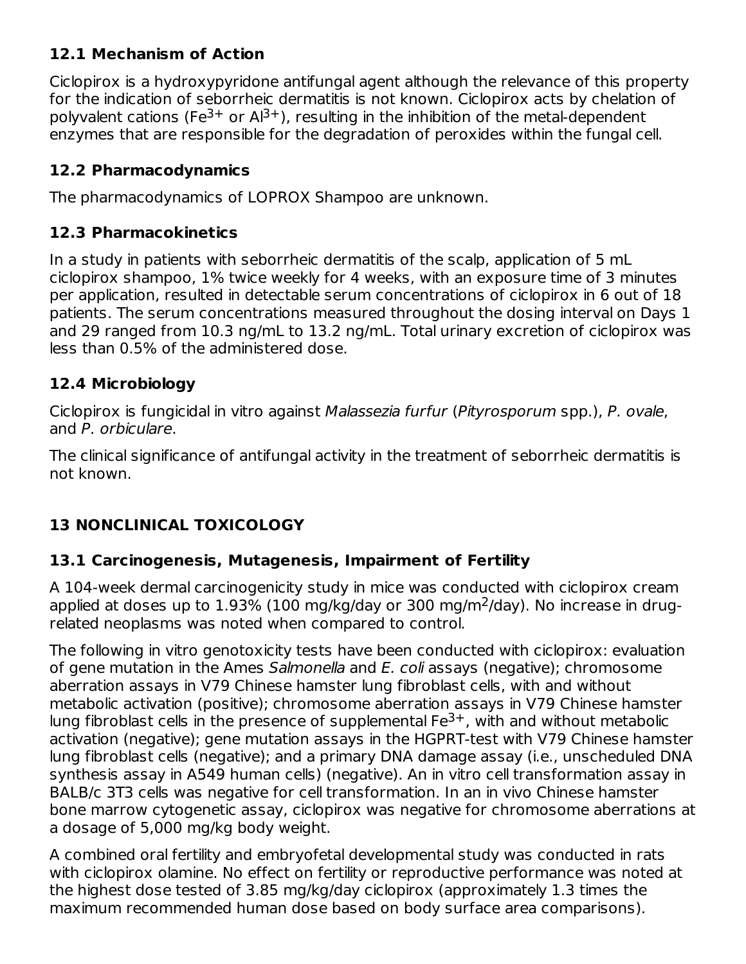# **12.1 Mechanism of Action**

Ciclopirox is a hydroxypyridone antifungal agent although the relevance of this property for the indication of seborrheic dermatitis is not known. Ciclopirox acts by chelation of polyvalent cations (Fe<sup>3+</sup> or Al<sup>3+</sup>), resulting in the inhibition of the metal-dependent enzymes that are responsible for the degradation of peroxides within the fungal cell.

# **12.2 Pharmacodynamics**

The pharmacodynamics of LOPROX Shampoo are unknown.

# **12.3 Pharmacokinetics**

In a study in patients with seborrheic dermatitis of the scalp, application of 5 mL ciclopirox shampoo, 1% twice weekly for 4 weeks, with an exposure time of 3 minutes per application, resulted in detectable serum concentrations of ciclopirox in 6 out of 18 patients. The serum concentrations measured throughout the dosing interval on Days 1 and 29 ranged from 10.3 ng/mL to 13.2 ng/mL. Total urinary excretion of ciclopirox was less than 0.5% of the administered dose.

# **12.4 Microbiology**

Ciclopirox is fungicidal in vitro against Malassezia furfur (Pityrosporum spp.), P. ovale, and P. orbiculare.

The clinical significance of antifungal activity in the treatment of seborrheic dermatitis is not known.

# **13 NONCLINICAL TOXICOLOGY**

# **13.1 Carcinogenesis, Mutagenesis, Impairment of Fertility**

A 104-week dermal carcinogenicity study in mice was conducted with ciclopirox cream applied at doses up to  $1.93\%$  (100 mg/kg/day or 300 mg/m<sup>2</sup>/day). No increase in drugrelated neoplasms was noted when compared to control.

The following in vitro genotoxicity tests have been conducted with ciclopirox: evaluation of gene mutation in the Ames Salmonella and E. coli assays (negative); chromosome aberration assays in V79 Chinese hamster lung fibroblast cells, with and without metabolic activation (positive); chromosome aberration assays in V79 Chinese hamster lung fibroblast cells in the presence of supplemental  $Fe^{3+}$ , with and without metabolic activation (negative); gene mutation assays in the HGPRT-test with V79 Chinese hamster lung fibroblast cells (negative); and a primary DNA damage assay (i.e., unscheduled DNA synthesis assay in A549 human cells) (negative). An in vitro cell transformation assay in BALB/c 3T3 cells was negative for cell transformation. In an in vivo Chinese hamster bone marrow cytogenetic assay, ciclopirox was negative for chromosome aberrations at a dosage of 5,000 mg/kg body weight.

A combined oral fertility and embryofetal developmental study was conducted in rats with ciclopirox olamine. No effect on fertility or reproductive performance was noted at the highest dose tested of 3.85 mg/kg/day ciclopirox (approximately 1.3 times the maximum recommended human dose based on body surface area comparisons).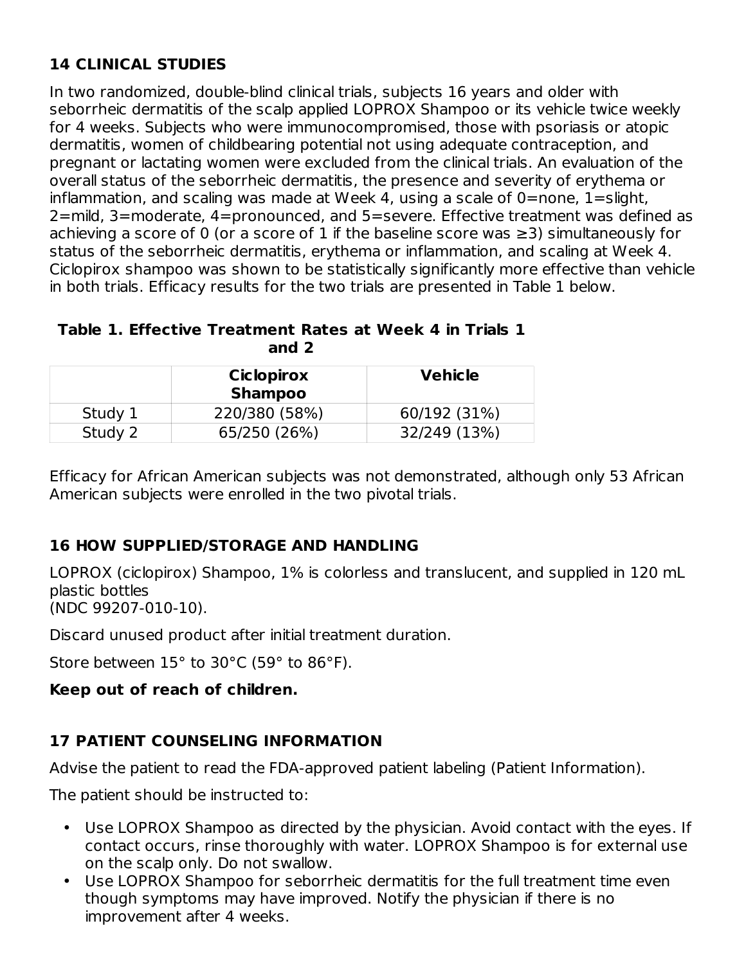# **14 CLINICAL STUDIES**

In two randomized, double-blind clinical trials, subjects 16 years and older with seborrheic dermatitis of the scalp applied LOPROX Shampoo or its vehicle twice weekly for 4 weeks. Subjects who were immunocompromised, those with psoriasis or atopic dermatitis, women of childbearing potential not using adequate contraception, and pregnant or lactating women were excluded from the clinical trials. An evaluation of the overall status of the seborrheic dermatitis, the presence and severity of erythema or inflammation, and scaling was made at Week 4, using a scale of  $0=$ none,  $1=$ slight, 2=mild, 3=moderate, 4=pronounced, and 5=severe. Effective treatment was defined as achieving a score of 0 (or a score of 1 if the baseline score was  $\geq$ 3) simultaneously for status of the seborrheic dermatitis, erythema or inflammation, and scaling at Week 4. Ciclopirox shampoo was shown to be statistically significantly more effective than vehicle in both trials. Efficacy results for the two trials are presented in Table 1 below.

#### **Table 1. Effective Treatment Rates at Week 4 in Trials 1 and 2**

|         | <b>Ciclopirox</b><br><b>Shampoo</b> | <b>Vehicle</b> |
|---------|-------------------------------------|----------------|
| Study 1 | 220/380 (58%)                       | 60/192 (31%)   |
| Study 2 | 65/250 (26%)                        | 32/249 (13%)   |

Efficacy for African American subjects was not demonstrated, although only 53 African American subjects were enrolled in the two pivotal trials.

# **16 HOW SUPPLIED/STORAGE AND HANDLING**

LOPROX (ciclopirox) Shampoo, 1% is colorless and translucent, and supplied in 120 mL plastic bottles (NDC 99207-010-10).

Discard unused product after initial treatment duration.

Store between 15° to 30°C (59° to 86°F).

# **Keep out of reach of children.**

# **17 PATIENT COUNSELING INFORMATION**

Advise the patient to read the FDA-approved patient labeling (Patient Information).

The patient should be instructed to:

- Use LOPROX Shampoo as directed by the physician. Avoid contact with the eyes. If contact occurs, rinse thoroughly with water. LOPROX Shampoo is for external use on the scalp only. Do not swallow.
- Use LOPROX Shampoo for seborrheic dermatitis for the full treatment time even though symptoms may have improved. Notify the physician if there is no improvement after 4 weeks.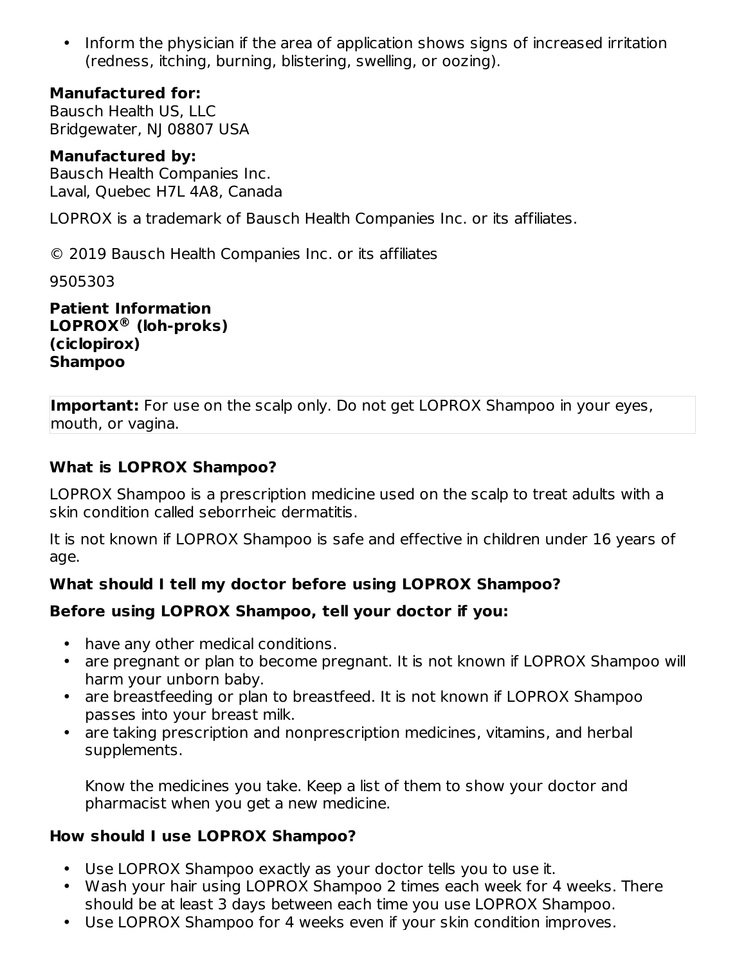• Inform the physician if the area of application shows signs of increased irritation (redness, itching, burning, blistering, swelling, or oozing).

### **Manufactured for:**

Bausch Health US, LLC Bridgewater, NJ 08807 USA

### **Manufactured by:**

Bausch Health Companies Inc. Laval, Quebec H7L 4A8, Canada

LOPROX is a trademark of Bausch Health Companies Inc. or its affiliates.

© 2019 Bausch Health Companies Inc. or its affiliates

9505303

**Patient Information LOPROX (loh-proks) ® (ciclopirox) Shampoo**

**Important:** For use on the scalp only. Do not get LOPROX Shampoo in your eyes, mouth, or vagina.

### **What is LOPROX Shampoo?**

LOPROX Shampoo is a prescription medicine used on the scalp to treat adults with a skin condition called seborrheic dermatitis.

It is not known if LOPROX Shampoo is safe and effective in children under 16 years of age.

# **What should I tell my doctor before using LOPROX Shampoo?**

# **Before using LOPROX Shampoo, tell your doctor if you:**

- have any other medical conditions.
- are pregnant or plan to become pregnant. It is not known if LOPROX Shampoo will harm your unborn baby.
- are breastfeeding or plan to breastfeed. It is not known if LOPROX Shampoo passes into your breast milk.
- are taking prescription and nonprescription medicines, vitamins, and herbal supplements.

Know the medicines you take. Keep a list of them to show your doctor and pharmacist when you get a new medicine.

### **How should I use LOPROX Shampoo?**

- Use LOPROX Shampoo exactly as your doctor tells you to use it.
- Wash your hair using LOPROX Shampoo 2 times each week for 4 weeks. There should be at least 3 days between each time you use LOPROX Shampoo.
- Use LOPROX Shampoo for 4 weeks even if your skin condition improves.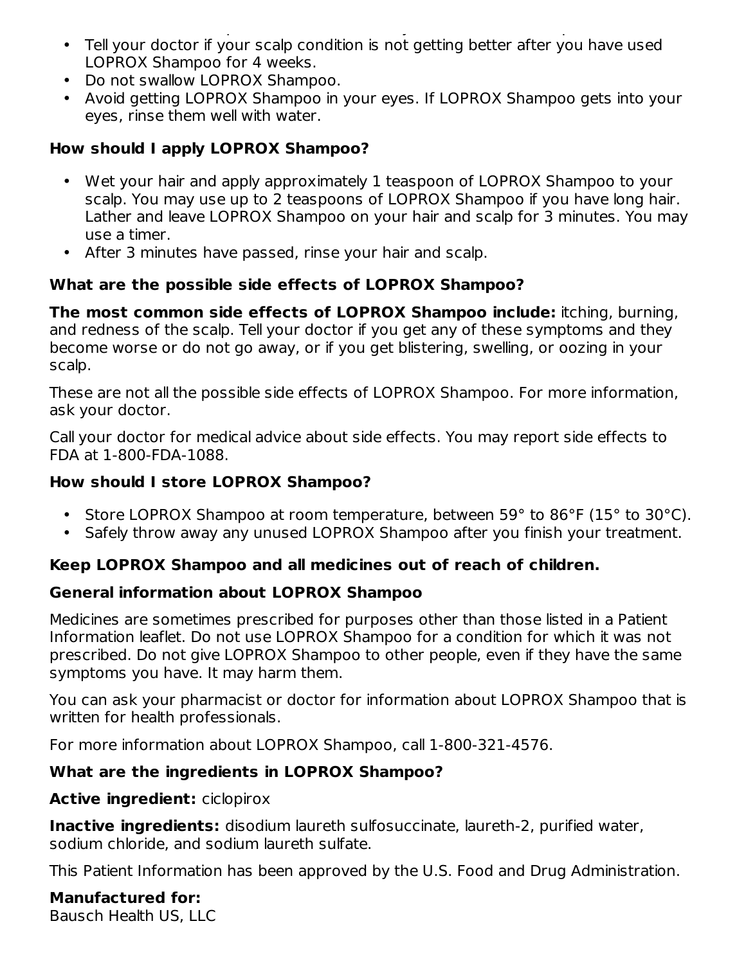- Tell your doctor if your scalp condition is not getting better after you have used Use LOPROX Shampoo for 4 weeks even if your skin condition improves. LOPROX Shampoo for 4 weeks.
- Do not swallow LOPROX Shampoo.
- Avoid getting LOPROX Shampoo in your eyes. If LOPROX Shampoo gets into your eyes, rinse them well with water.

### **How should I apply LOPROX Shampoo?**

- Wet your hair and apply approximately 1 teaspoon of LOPROX Shampoo to your scalp. You may use up to 2 teaspoons of LOPROX Shampoo if you have long hair. Lather and leave LOPROX Shampoo on your hair and scalp for 3 minutes. You may use a timer.
- After 3 minutes have passed, rinse your hair and scalp.

### **What are the possible side effects of LOPROX Shampoo?**

**The most common side effects of LOPROX Shampoo include:** itching, burning, and redness of the scalp. Tell your doctor if you get any of these symptoms and they become worse or do not go away, or if you get blistering, swelling, or oozing in your scalp.

These are not all the possible side effects of LOPROX Shampoo. For more information, ask your doctor.

Call your doctor for medical advice about side effects. You may report side effects to FDA at 1-800-FDA-1088.

### **How should I store LOPROX Shampoo?**

- Store LOPROX Shampoo at room temperature, between 59° to 86°F (15° to 30°C).
- Safely throw away any unused LOPROX Shampoo after you finish your treatment.

### **Keep LOPROX Shampoo and all medicines out of reach of children.**

### **General information about LOPROX Shampoo**

Medicines are sometimes prescribed for purposes other than those listed in a Patient Information leaflet. Do not use LOPROX Shampoo for a condition for which it was not prescribed. Do not give LOPROX Shampoo to other people, even if they have the same symptoms you have. It may harm them.

You can ask your pharmacist or doctor for information about LOPROX Shampoo that is written for health professionals.

For more information about LOPROX Shampoo, call 1-800-321-4576.

### **What are the ingredients in LOPROX Shampoo?**

### **Active ingredient:** ciclopirox

**Inactive ingredients:** disodium laureth sulfosuccinate, laureth-2, purified water, sodium chloride, and sodium laureth sulfate.

This Patient Information has been approved by the U.S. Food and Drug Administration.

**Manufactured for:** Bausch Health US, LLC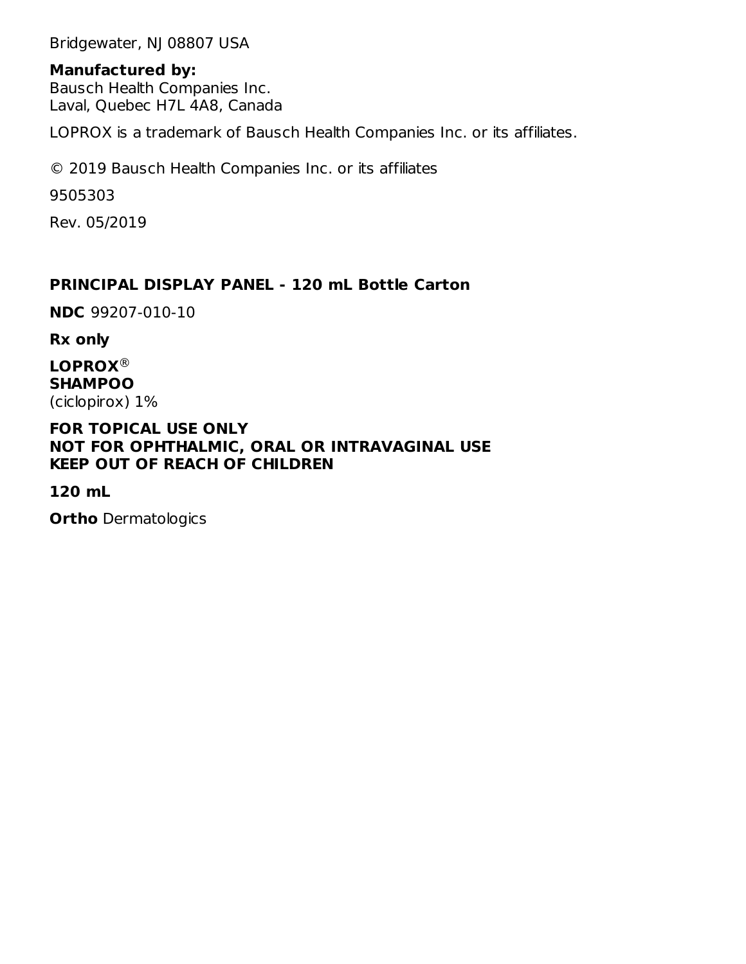Bridgewater, NJ 08807 USA

#### **Manufactured by:**

Bausch Health Companies Inc. Laval, Quebec H7L 4A8, Canada

LOPROX is a trademark of Bausch Health Companies Inc. or its affiliates.

© 2019 Bausch Health Companies Inc. or its affiliates

9505303

Rev. 05/2019

### **PRINCIPAL DISPLAY PANEL - 120 mL Bottle Carton**

**NDC** 99207-010-10

**Rx only**

**LOPROX** ®**SHAMPOO** (ciclopirox) 1%

#### **FOR TOPICAL USE ONLY NOT FOR OPHTHALMIC, ORAL OR INTRAVAGINAL USE KEEP OUT OF REACH OF CHILDREN**

**120 mL**

**Ortho** Dermatologics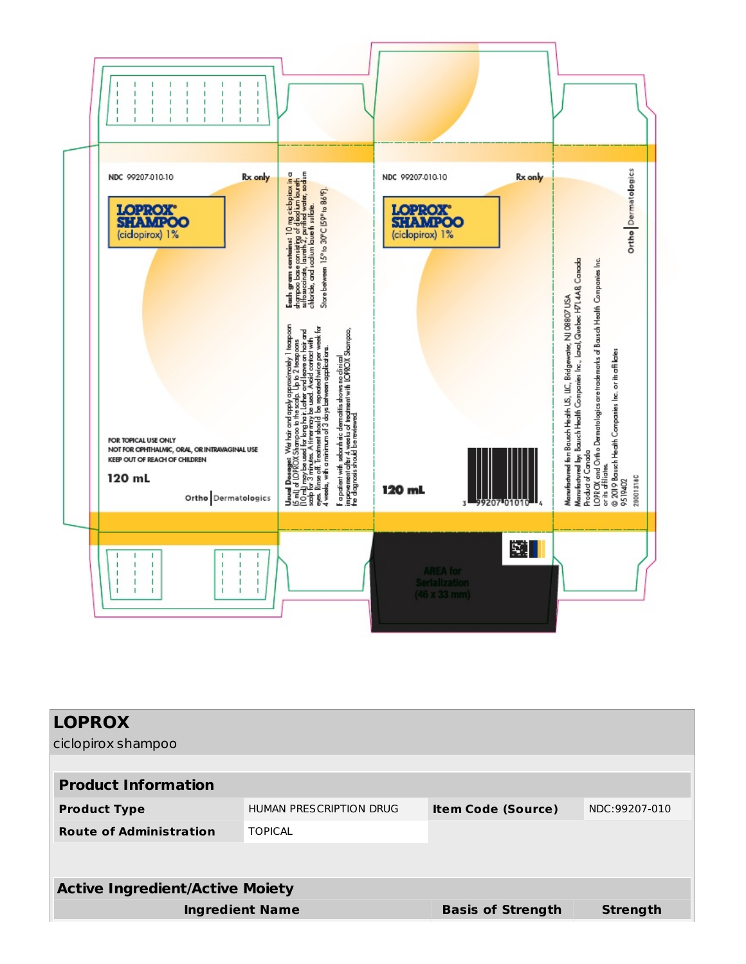

| <b>LOPROX</b>                          |                                                                              |                          |                 |  |
|----------------------------------------|------------------------------------------------------------------------------|--------------------------|-----------------|--|
| ciclopirox shampoo                     |                                                                              |                          |                 |  |
|                                        |                                                                              |                          |                 |  |
| <b>Product Information</b>             |                                                                              |                          |                 |  |
| <b>Product Type</b>                    | <b>HUMAN PRESCRIPTION DRUG</b><br>NDC:99207-010<br><b>Item Code (Source)</b> |                          |                 |  |
| <b>Route of Administration</b>         | <b>TOPICAL</b>                                                               |                          |                 |  |
|                                        |                                                                              |                          |                 |  |
|                                        |                                                                              |                          |                 |  |
| <b>Active Ingredient/Active Moiety</b> |                                                                              |                          |                 |  |
| <b>Ingredient Name</b>                 |                                                                              | <b>Basis of Strength</b> | <b>Strength</b> |  |
|                                        |                                                                              |                          |                 |  |